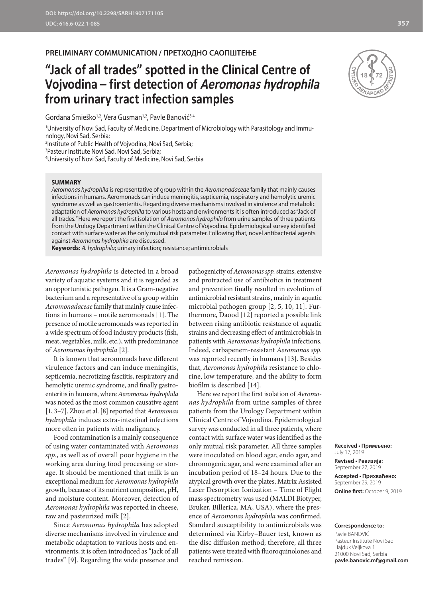### **PRELIMINARY COMMUNICATION / ПРЕТХОДНО САОПШТЕЊЕ**

# **"Jack of all trades" spotted in the Clinical Centre of Vojvodina – first detection of Aeromonas hydrophila from urinary tract infection samples**

Gordana Smieško<sup>1,2</sup>, Vera Gusman<sup>1,2</sup>, Pavle Banović<sup>3,4</sup>

1 University of Novi Sad, Faculty of Medicine, Department of Microbiology with Parasitology and Immunology, Novi Sad, Serbia;

2 Institute of Public Health of Vojvodina, Novi Sad, Serbia;

3 Pasteur Institute Novi Sad, Novi Sad, Serbia;

4 University of Novi Sad, Faculty of Medicine, Novi Sad, Serbia

#### **SUMMARY**

*Aeromonas hydrophila* is representative of group within the *Aeromonadaceae* family that mainly causes infections in humans. Aeromonads can induce meningitis, septicemia, respiratory and hemolytic uremic syndrome as well as gastroenteritis. Regarding diverse mechanisms involved in virulence and metabolic adaptation of *Aeromonas hydrophila* to various hosts and environments it is often introduced as "Jack of all trades*.*" Here we report the first isolation of *Aeromonas hydrophila* from urine samples of three patients from the Urology Department within the Clinical Centre of Vojvodina. Epidemiological survey identified contact with surface water as the only mutual risk parameter. Following that, novel antibacterial agents against *Aeromonas hydrophila* are discussed.

**Keywords:** *A. hydrophila*; urinary infection; resistance; antimicrobials

*Aeromonas hydrophila* is detected in a broad variety of aquatic systems and it is regarded as an opportunistic pathogen. It is a Gram-negative bacterium and a representative of a group within *Aeromonadaceae* family that mainly cause infections in humans – motile aeromonads [1]. The presence of motile aeromonads was reported in a wide spectrum of food industry products (fish, meat, vegetables, milk, etc.), with predominance of *Aeromonas hydrophila* [2]*.*

It is known that aeromonads have different virulence factors and can induce meningitis, septicemia, necrotizing fasciitis, respiratory and hemolytic uremic syndrome, and finally gastroenteritis in humans, where *Aeromonas hydrophila* was noted as the most common causative agent [1, 3–7]. Zhou et al. [8] reported that *Aeromonas hydrophila* induces extra-intestinal infections more often in patients with malignancy.

Food contamination is a mainly consequence of using water contaminated with *Aeromonas spp*., as well as of overall poor hygiene in the working area during food processing or storage. It should be mentioned that milk is an exceptional medium for *Aeromonas hydrophila* growth, because of its nutrient composition, pH, and moisture content. Moreover, detection of *Aeromonas hydrophila* was reported in cheese, raw and pasteurized milk [2].

Since *Aeromonas hydrophila* has adopted diverse mechanisms involved in virulence and metabolic adaptation to various hosts and environments, it is often introduced as "Jack of all trades" [9]. Regarding the wide presence and

pathogenicity of *Aeromonas spp.* strains, extensive and protracted use of antibiotics in treatment and prevention finally resulted in evolution of antimicrobial resistant strains, mainly in aquatic microbial pathogen group [2, 5, 10, 11]. Furthermore, Daood [12] reported a possible link between rising antibiotic resistance of aquatic strains and decreasing effect of antimicrobials in patients with *Aeromonas hydrophila* infections. Indeed, carbapenem-resistant *Aeromonas spp.* was reported recently in humans [13]. Besides that, *Aeromonas hydrophila* resistance to chlorine, low temperature, and the ability to form biofilm is described [14].

Here we report the first isolation of *Aeromonas hydrophila* from urine samples of three patients from the Urology Department within Clinical Centre of Vojvodina. Epidemiological survey was conducted in all three patients, where contact with surface water was identified as the only mutual risk parameter. All three samples were inoculated on blood agar, endo agar, and chromogenic agar, and were examined after an incubation period of 18–24 hours. Due to the atypical growth over the plates, Matrix Assisted Laser Desorption Ionization – Time of Flight mass spectrometry was used (MALDI Biotyper, Bruker, Billerica, MA, USA), where the presence of *Aeromonas hydrophila* was confirmed. Standard susceptibility to antimicrobials was determined via Kirby–Bauer test, known as the disc diffusion method; therefore, all three patients were treated with fluoroquinolones and reached remission.



September 29, 2019 **Online first:** October 9, 2019

#### **Correspondence to:**

Pavle BANOVIĆ Pasteur Institute Novi Sad Hajduk Veljkova 1 21000 Novi Sad, Serbia **pavle.banovic.mf@gmail.com** 

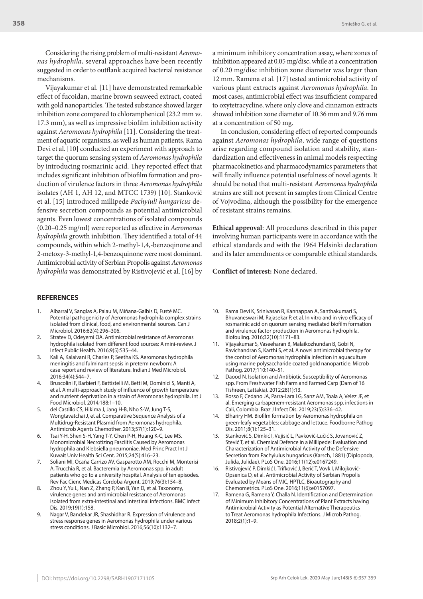Considering the rising problem of multi-resistant *Aeromonas hydrophila*, several approaches have been recently suggested in order to outflank acquired bacterial resistance mechanisms.

Vijayakumar et al. [11] have demonstrated remarkable effect of fucoidan, marine brown seaweed extract, coated with gold nanoparticles. The tested substance showed larger inhibition zone compared to chloramphenicol (23.2 mm *vs*. 17.3 mm), as well as impressive biofilm inhibition activity against *Aeromonas hydrophila* [11]*.* Considering the treatment of aquatic organisms, as well as human patients, Rama Devi et al. [10] conducted an experiment with approach to target the quorum sensing system of *Aeromonas hydrophila* by introducing rosmarinic acid. They reported effect that includes significant inhibition of biofilm formation and production of virulence factors in three *Aeromonas hydrophila* isolates (AH 1, AH 12, and MTCC 1739) [10]. Stanković et al. [15] introduced millipede *Pachyiuli hungaricus* defensive secretion compounds as potential antimicrobial agents. Even lowest concentrations of isolated compounds (0.20–0.25 mg/ml) were reported as effective in *Aeromonas hydrophila* growth inhibition*.* They identified a total of 44 compounds, within which 2-methyl-1,4,-benzoqinone and 2-metoxy-3-methyl-1,4-benzoquinone were most dominant. Antimicrobial activity of Serbian Propolis against *Aeromonas hydrophila* was demonstrated by Ristivojević et al. [16] by

#### **REFERENCES**

- 1. Albarral V, Sanglas A, Palau M, Miñana-Galbis D, Fusté MC. Potential pathogenicity of Aeromonas hydrophila complex strains isolated from clinical, food, and environmental sources. Can J Microbiol. 2016;62(4):296–306.
- Stratev D, Odeyemi OA. Antimicrobial resistance of Aeromonas hydrophila isolated from different food sources: A mini-review. J Infect Public Health. 2016;9(5):535–44.
- 3. Kali A, Kalaivani R, Charles P, Seetha KS. Aeromonas hydrophila meningitis and fulminant sepsis in preterm newborn: A case report and review of literature. Indian J Med Microbiol. 2016;34(4):544–7.
- 4. Bruscolini F, Barbieri F, Battistelli M, Betti M, Dominici S, Manti A, et al. A multi-approach study of influence of growth temperature and nutrient deprivation in a strain of Aeromonas hydrophila. Int J Food Microbiol. 2014;188:1–10.
- 5. del Castillo CS, Hikima J, Jang H-B, Nho S-W, Jung T-S, Wongtavatchai J, et al. Comparative Sequence Analysis of a Multidrug-Resistant Plasmid from Aeromonas hydrophila. Antimicrob Agents Chemother. 2013;57(1):120–9.
- 6. Tsai Y-H, Shen S-H, Yang T-Y, Chen P-H, Huang K-C, Lee MS. Monomicrobial Necrotizing Fasciitis Caused by Aeromonas hydrophila and Klebsiella pneumoniae. Med Princ Pract Int J Kuwait Univ Health Sci Cent. 2015;24(5):416–23.
- 7. Soliani MI, Ocaña Carrizo AV, Gasparotto AM, Rocchi M, Monterisi A, Trucchia R, et al. Bacteremia by Aeromonas spp. in adult patients who go to a university hospital. Analysis of ten episodes. Rev Fac Cienc Medicas Cordoba Argent. 2019;76(3):154–8.
- 8. Zhou Y, Yu L, Nan Z, Zhang P, Kan B, Yan D, et al. Taxonomy, virulence genes and antimicrobial resistance of Aeromonas isolated from extra-intestinal and intestinal infections. BMC Infect Dis. 2019;19(1):158.
- 9. Nagar V, Bandekar JR, Shashidhar R. Expression of virulence and stress response genes in Aeromonas hydrophila under various stress conditions. J Basic Microbiol. 2016;56(10):1132–7.

a minimum inhibitory concentration assay, where zones of inhibition appeared at 0.05 mg/disc, while at a concentration of 0.20 mg/disc inhibition zone diameter was larger than 12 mm. Ramena et al. [17] tested antimicrobial activity of various plant extracts against *Aeromonas hydrophila.* In most cases, antimicrobial effect was insufficient compared to oxytetracycline, where only clove and cinnamon extracts showed inhibition zone diameter of 10.36 mm and 9.76 mm at a concentration of 50 mg.

In conclusion, considering effect of reported compounds against *Aeromonas hydrophila*, wide range of questions arise regarding compound isolation and stability, standardization and effectiveness in animal models respecting pharmacokinetics and pharmacodynamics parameters that will finally influence potential usefulness of novel agents. It should be noted that multi-resistant *Aeromonas hydrophila* strains are still not present in samples from Clinical Centre of Vojvodina, although the possibility for the emergence of resistant strains remains.

**Ethical approval**: All procedures described in this paper involving human participants were in accordance with the ethical standards and with the 1964 Helsinki declaration and its later amendments or comparable ethical standards.

**Conflict of interest:** None declared.

- 10. Rama Devi K, Srinivasan R, Kannappan A, Santhakumari S, Bhuvaneswari M, Rajasekar P, et al. In vitro and in vivo efficacy of rosmarinic acid on quorum sensing mediated biofilm formation and virulence factor production in Aeromonas hydrophila. Biofouling. 2016;32(10):1171–83.
- 11. Vijayakumar S, Vaseeharan B, Malaikozhundan B, Gobi N, Ravichandran S, Karthi S, et al. A novel antimicrobial therapy for the control of Aeromonas hydrophila infection in aquaculture using marine polysaccharide coated gold nanoparticle. Microb Pathog. 2017;110:140–51.
- 12. Daood N. Isolation and Antibiotic Susceptibility of Aeromonas spp. From Freshwater Fish Farm and Farmed Carp (Dam of 16 Tishreen, Lattakia). 2012;28(1):13.
- 13. Rosso F, Cedano JA, Parra-Lara LG, Sanz AM, Toala A, Velez JF, et al. Emerging carbapenem-resistant Aeromonas spp. infections in Cali, Colombia. Braz J Infect Dis. 2019;23(5):336–42.
- 14. Elhariry HM. Biofilm formation by Aeromonas hydrophila on green-leafy vegetables: cabbage and lettuce. Foodborne Pathog Dis. 2011;8(1):125–31.
- 15. Stanković S, Dimkić I, Vujisić L, Pavković-Lučić S, Jovanović Z, Stević T, et al. Chemical Defence in a Millipede: Evaluation and Characterization of Antimicrobial Activity of the Defensive Secretion from Pachyiulus hungaricus (Karsch, 1881) (Diplopoda, Julida, Julidae). PLоS One. 2016;11(12):e0167249.
- 16. Ristivojević P, Dimkić I, Trifković J, Berić T, Vovk I, Milojković-Opsenica D, et al. Antimicrobial Activity of Serbian Propolis Evaluated by Means of MIC, HPTLC, Bioautography and Chemometrics. PLоS One. 2016;11(6):e0157097.
- 17. Ramena G, Ramena Y, Challa N. Identification and Determination of Minimum Inhibitory Concentrations of Plant Extracts having Antimicrobial Activity as Potential Alternative Therapeutics to Treat Aeromonas hydrophila Infections. J Microb Pathog. 2018;2(1):1–9.